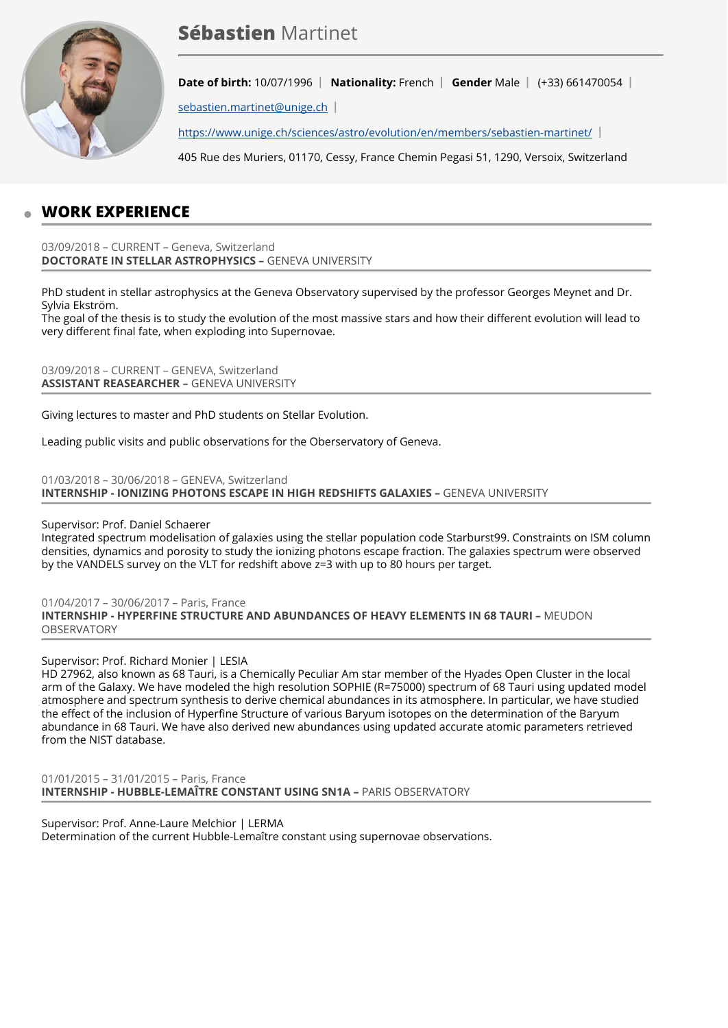

# **Sébastien** Martinet

**Date of birth:** 10/07/1996 | Nationality: French | Gender Male | (+33) 661470054 |

[sebastien.martinet@unige.ch](mailto:sebastien.martinet@unige.ch) |

<https://www.unige.ch/sciences/astro/evolution/en/members/sebastien-martinet/>|

405 Rue des Muriers, 01170, Cessy, France Chemin Pegasi 51, 1290, Versoix, Switzerland

## **WORK EXPERIENCE**

03/09/2018 – CURRENT – Geneva, Switzerland **DOCTORATE IN STELLAR ASTROPHYSICS –** GENEVA UNIVERSITY

PhD student in stellar astrophysics at the Geneva Observatory supervised by the professor Georges Meynet and Dr. Sylvia Ekström.

The goal of the thesis is to study the evolution of the most massive stars and how their different evolution will lead to very different final fate, when exploding into Supernovae.

03/09/2018 – CURRENT – GENEVA, Switzerland **ASSISTANT REASEARCHER –** GENEVA UNIVERSITY

Giving lectures to master and PhD students on Stellar Evolution.

Leading public visits and public observations for the Oberservatory of Geneva.

01/03/2018 – 30/06/2018 – GENEVA, Switzerland **INTERNSHIP - IONIZING PHOTONS ESCAPE IN HIGH REDSHIFTS GALAXIES –** GENEVA UNIVERSITY

#### Supervisor: Prof. Daniel Schaerer

Integrated spectrum modelisation of galaxies using the stellar population code Starburst99. Constraints on ISM column densities, dynamics and porosity to study the ionizing photons escape fraction. The galaxies spectrum were observed by the VANDELS survey on the VLT for redshift above z=3 with up to 80 hours per target.

01/04/2017 – 30/06/2017 – Paris, France **INTERNSHIP - HYPERFINE STRUCTURE AND ABUNDANCES OF HEAVY ELEMENTS IN 68 TAURI –** MEUDON OBSERVATORY

Supervisor: Prof. Richard Monier | LESIA

HD 27962, also known as 68 Tauri, is a Chemically Peculiar Am star member of the Hyades Open Cluster in the local arm of the Galaxy. We have modeled the high resolution SOPHIE (R=75000) spectrum of 68 Tauri using updated model atmosphere and spectrum synthesis to derive chemical abundances in its atmosphere. In particular, we have studied the effect of the inclusion of Hyperfine Structure of various Baryum isotopes on the determination of the Baryum abundance in 68 Tauri. We have also derived new abundances using updated accurate atomic parameters retrieved from the NIST database.

01/01/2015 – 31/01/2015 – Paris, France **INTERNSHIP - HUBBLE-LEMAÎTRE CONSTANT USING SN1A –** PARIS OBSERVATORY

Supervisor: Prof. Anne-Laure Melchior | LERMA Determination of the current Hubble-Lemaître constant using supernovae observations.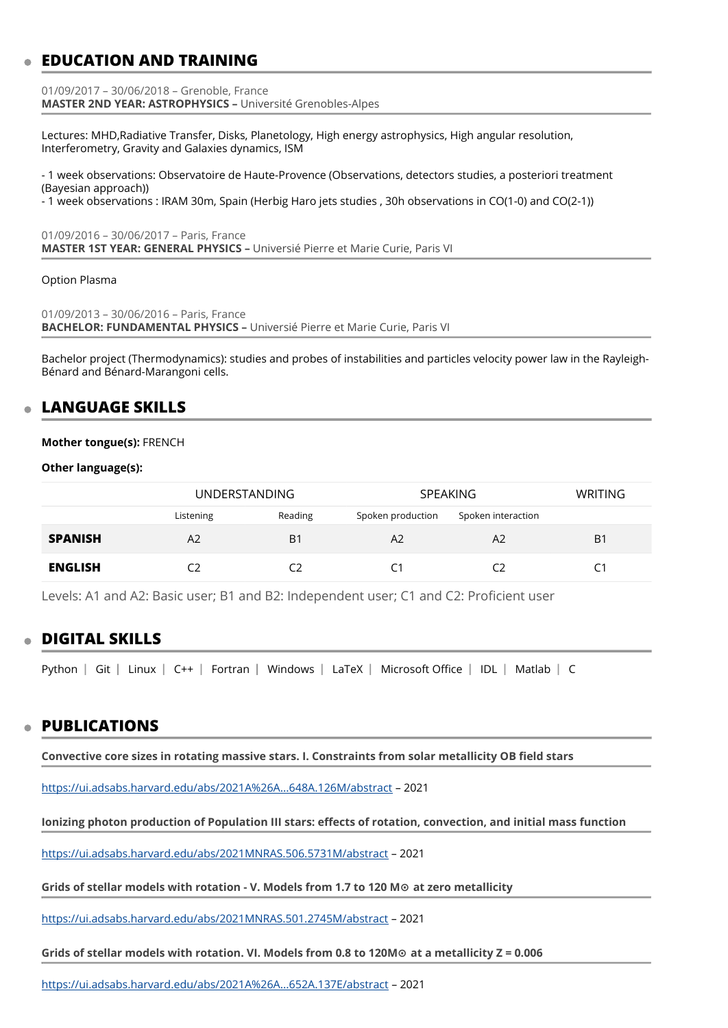## **EDUCATION AND TRAINING**

01/09/2017 – 30/06/2018 – Grenoble, France **MASTER 2ND YEAR: ASTROPHYSICS –** Université Grenobles-Alpes

Lectures: MHD,Radiative Transfer, Disks, Planetology, High energy astrophysics, High angular resolution, Interferometry, Gravity and Galaxies dynamics, ISM

- 1 week observations: Observatoire de Haute-Provence (Observations, detectors studies, a posteriori treatment (Bayesian approach))

- 1 week observations : IRAM 30m, Spain (Herbig Haro jets studies , 30h observations in CO(1-0) and CO(2-1))

01/09/2016 – 30/06/2017 – Paris, France **MASTER 1ST YEAR: GENERAL PHYSICS –** Universié Pierre et Marie Curie, Paris VI

#### Option Plasma

01/09/2013 – 30/06/2016 – Paris, France **BACHELOR: FUNDAMENTAL PHYSICS –** Universié Pierre et Marie Curie, Paris VI

Bachelor project (Thermodynamics): studies and probes of instabilities and particles velocity power law in the Rayleigh-Bénard and Bénard-Marangoni cells.

### **LANGUAGE SKILLS**

#### **Mother tongue(s):** FRENCH

**Other language(s):**

|                | UNDERSTANDING  |                | <b>SPEAKING</b>   |                    | <b>WRITING</b> |
|----------------|----------------|----------------|-------------------|--------------------|----------------|
|                | Listening      | Reading        | Spoken production | Spoken interaction |                |
| <b>SPANISH</b> | A <sub>2</sub> | B <sub>1</sub> | A2                | A2                 | B <sub>1</sub> |
| <b>ENGLISH</b> |                |                |                   | C2                 |                |

Levels: A1 and A2: Basic user; B1 and B2: Independent user; C1 and C2: Proficient user

### **DIGITAL SKILLS**

Python  $|$  Git  $|$  Linux  $|$  C++  $|$  Fortran  $|$  Windows  $|$  LaTeX  $|$  Microsoft Office  $|$  IDL  $|$  Matlab  $|$  C

#### **PUBLICATIONS**

**Convective core sizes in rotating massive stars. I. Constraints from solar metallicity OB field stars** 

<https://ui.adsabs.harvard.edu/abs/2021A%26A...648A.126M/abstract> – 2021

**Ionizing photon production of Population III stars: effects of rotation, convection, and initial mass function** 

<https://ui.adsabs.harvard.edu/abs/2021MNRAS.506.5731M/abstract>– 2021

**Grids of stellar models with rotation - V. Models from 1.7 to 120 M⊙ at zero metallicity** 

<https://ui.adsabs.harvard.edu/abs/2021MNRAS.501.2745M/abstract>– 2021

**Grids of stellar models with rotation. VI. Models from 0.8 to 120M⊙ at a metallicity Z = 0.006** 

<https://ui.adsabs.harvard.edu/abs/2021A%26A...652A.137E/abstract> – 2021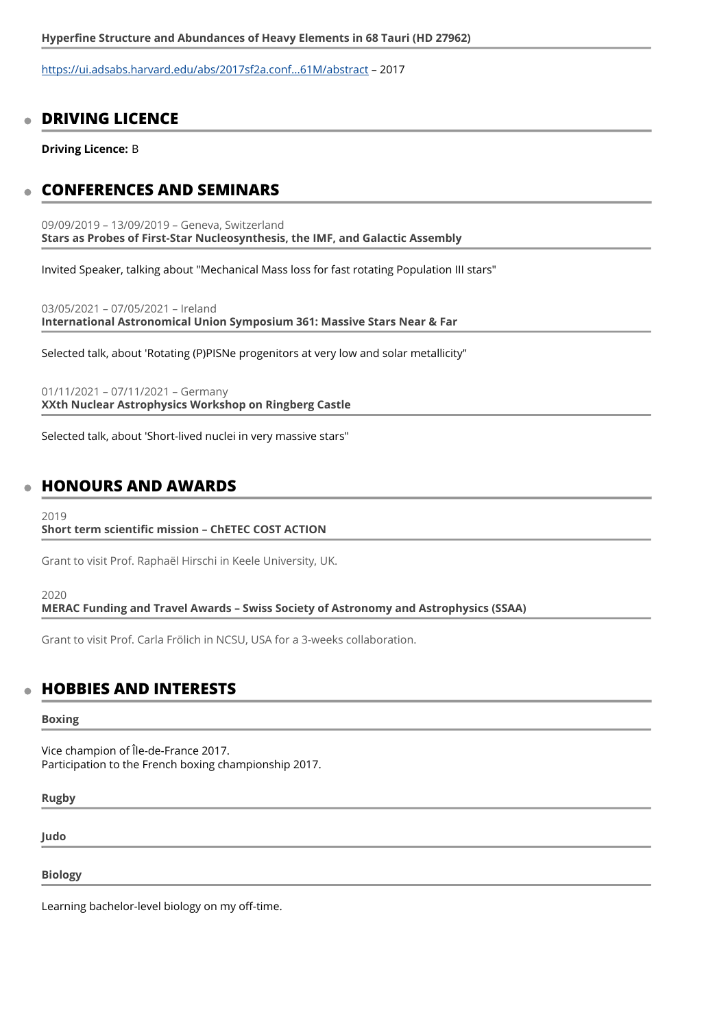<https://ui.adsabs.harvard.edu/abs/2017sf2a.conf...61M/abstract>– 2017

### **DRIVING LICENCE**

**Driving Licence:** B

### **CONFERENCES AND SEMINARS**

09/09/2019 – 13/09/2019 – Geneva, Switzerland **Stars as Probes of First-Star Nucleosynthesis, the IMF, and Galactic Assembly** 

Invited Speaker, talking about "Mechanical Mass loss for fast rotating Population III stars"

03/05/2021 – 07/05/2021 – Ireland **International Astronomical Union Symposium 361: Massive Stars Near & Far** 

Selected talk, about 'Rotating (P)PISNe progenitors at very low and solar metallicity"

01/11/2021 – 07/11/2021 – Germany **XXth Nuclear Astrophysics Workshop on Ringberg Castle** 

Selected talk, about 'Short-lived nuclei in very massive stars"

### **HONOURS AND AWARDS**

#### 2019

#### **Short term scientific mission – ChETEC COST ACTION**

Grant to visit Prof. Raphaël Hirschi in Keele University, UK.

#### 2020

**MERAC Funding and Travel Awards – Swiss Society of Astronomy and Astrophysics (SSAA)** 

Grant to visit Prof. Carla Frölich in NCSU, USA for a 3-weeks collaboration.

#### **HOBBIES AND INTERESTS**

#### **Boxing**

Vice champion of Île-de-France 2017. Participation to the French boxing championship 2017.

**Rugby** 

**Judo** 

**Biology** 

Learning bachelor-level biology on my off-time.